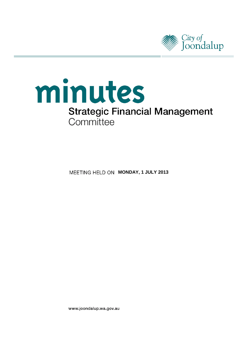

# minutes **Strategic Financial Management** Committee

**MEETING HELD ON MONDAY, 1 JULY 2013** 

www.joondalup.wa.gov.au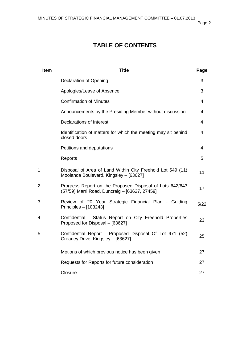# **TABLE OF CONTENTS**

| <b>Item</b> | <b>Title</b>                                                                                              | Page |
|-------------|-----------------------------------------------------------------------------------------------------------|------|
|             | Declaration of Opening                                                                                    | 3    |
|             | Apologies/Leave of Absence                                                                                | 3    |
|             | <b>Confirmation of Minutes</b>                                                                            | 4    |
|             | Announcements by the Presiding Member without discussion                                                  | 4    |
|             | <b>Declarations of Interest</b>                                                                           | 4    |
|             | Identification of matters for which the meeting may sit behind<br>closed doors                            | 4    |
|             | Petitions and deputations                                                                                 | 4    |
|             | Reports                                                                                                   | 5    |
| 1           | Disposal of Area of Land Within City Freehold Lot 549 (11)<br>Moolanda Boulevard, Kingsley - [63627]      | 11   |
| 2           | Progress Report on the Proposed Disposal of Lots 642/643<br>(57/59) Marri Road, Duncraig - [63627, 27459] | 17   |
| 3           | Review of 20 Year Strategic Financial Plan - Guiding<br>Principles $-$ [103243]                           | 5/22 |
| 4           | Confidential - Status Report on City Freehold Properties<br>Proposed for Disposal - [63627]               | 23   |
| 5           | Confidential Report - Proposed Disposal Of Lot 971 (52)<br>Creaney Drive, Kingsley - [63627]              | 25   |
|             | Motions of which previous notice has been given                                                           | 27   |
|             | Requests for Reports for future consideration                                                             | 27   |
|             | Closure                                                                                                   | 27   |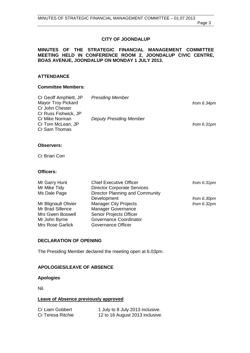#### **CITY OF JOONDALUP**

#### **MINUTES OF THE STRATEGIC FINANCIAL MANAGEMENT COMMITTEE MEETING HELD IN CONFERENCE ROOM 2, JOONDALUP CIVIC CENTRE, BOAS AVENUE, JOONDALUP ON MONDAY 1 JULY 2013.**

### **ATTENDANCE**

#### **Committee Members:**

| Cr Geoff Amphlett, JP     | <b>Presiding Member</b>        |               |
|---------------------------|--------------------------------|---------------|
| <b>Mayor Troy Pickard</b> |                                | from $6.34pm$ |
| Cr John Chester           |                                |               |
| Cr Russ Fishwick, JP      |                                |               |
| Cr Mike Norman            | <b>Deputy Presiding Member</b> |               |
| Cr Tom McLean, JP         |                                | from $6.31pm$ |
| Cr Sam Thomas             |                                |               |

#### **Observers:**

Cr Brian Corr

#### **Officers:**

| Mr Garry Hunt           | <b>Chief Executive Officer</b>     | from $6.31pm$ |
|-------------------------|------------------------------------|---------------|
| Mr Mike Tidy            | <b>Director Corporate Services</b> |               |
| Ms Dale Page            | Director Planning and Community    |               |
|                         | Development                        | from 6.30pm   |
| Mr Blignault Olivier    | <b>Manager City Projects</b>       | from $6.32pm$ |
| Mr Brad Sillence        | <b>Manager Governance</b>          |               |
| Mrs Gwen Boswell        | Senior Projects Officer            |               |
| Mr John Byrne           | Governance Coordinator             |               |
| <b>Mrs Rose Garlick</b> | Governance Officer                 |               |

#### <span id="page-2-0"></span>**DECLARATION OF OPENING**

The Presiding Member declared the meeting open at 6.03pm.

#### <span id="page-2-1"></span>**APOLOGIES/LEAVE OF ABSENCE**

#### **Apologies**

Nil.

#### **Leave of Absence previously approved**

| Cr Liam Gobbert   | 1 July to 8 July 2013 inclusive. |
|-------------------|----------------------------------|
| Cr Teresa Ritchie | 12 to 16 August 2013 inclusive.  |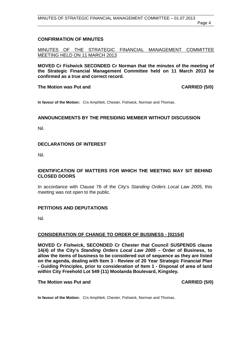#### <span id="page-3-0"></span>**CONFIRMATION OF MINUTES**

MINUTES OF THE STRATEGIC FINANCIAL MANAGEMENT COMMITTEE MEETING HELD ON 11 MARCH 2013

**MOVED Cr Fishwick SECONDED Cr Norman that the minutes of the meeting of the Strategic Financial Management Committee held on 11 March 2013 be confirmed as a true and correct record.**

#### **The Motion was Put and CARRIED (5/0)**

**In favour of the Motion:** Crs Amphlett, Chester, Fishwick, Norman and Thomas.

#### <span id="page-3-1"></span>**ANNOUNCEMENTS BY THE PRESIDING MEMBER WITHOUT DISCUSSION**

Nil.

#### <span id="page-3-2"></span>**DECLARATIONS OF INTEREST**

Nil.

#### <span id="page-3-3"></span>**IDENTIFICATION OF MATTERS FOR WHICH THE MEETING MAY SIT BEHIND CLOSED DOORS**

In accordance with Clause 76 of the City's *Standing Orders Local Law 2005*, this meeting was not open to the public.

#### <span id="page-3-4"></span>**PETITIONS AND DEPUTATIONS**

Nil.

#### **CONSIDERATION OF CHANGE TO ORDER OF BUSINESS - [02154]**

**MOVED Cr Fishwick, SECONDED Cr Chester that Council SUSPENDS clause 14(4) of the City's** *Standing Orders Local Law 2005* **– Order of Business, to allow the items of business to be considered out of sequence as they are listed on the agenda, dealing with Item 3 - Review of 20 Year Strategic Financial Plan - Guiding Principles, prior to consideration of Item 1 - Disposal of area of land within City Freehold Lot 549 (11) Moolanda Boulevard, Kingsley.**

#### **The Motion was Put and CARRIED (5/0)**

**In favour of the Motion:** Crs Amphlett, Chester, Fishwick, Norman and Thomas.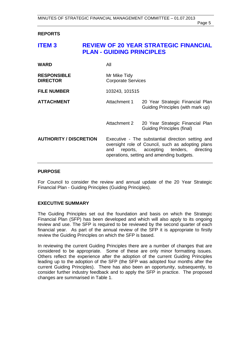#### <span id="page-4-0"></span>**REPORTS**

# <span id="page-4-1"></span>**ITEM 3 REVIEW OF 20 YEAR STRATEGIC FINANCIAL PLAN - GUIDING PRINCIPLES**

| <b>WARD</b>                           | All                                       |                                                                                                                                                                                              |
|---------------------------------------|-------------------------------------------|----------------------------------------------------------------------------------------------------------------------------------------------------------------------------------------------|
| <b>RESPONSIBLE</b><br><b>DIRECTOR</b> | Mr Mike Tidy<br><b>Corporate Services</b> |                                                                                                                                                                                              |
| <b>FILE NUMBER</b>                    | 103243, 101515                            |                                                                                                                                                                                              |
| <b>ATTACHMENT</b>                     | Attachment 1                              | 20 Year Strategic Financial Plan<br>Guiding Principles (with mark up)                                                                                                                        |
|                                       | Attachment 2                              | 20 Year Strategic Financial Plan<br><b>Guiding Principles (final)</b>                                                                                                                        |
| <b>AUTHORITY / DISCRETION</b>         | and                                       | Executive - The substantial direction setting and<br>oversight role of Council, such as adopting plans<br>reports, accepting tenders, directing<br>operations, setting and amending budgets. |

#### **PURPOSE**

For Council to consider the review and annual update of the 20 Year Strategic Financial Plan - Guiding Principles (Guiding Principles).

#### **EXECUTIVE SUMMARY**

The Guiding Principles set out the foundation and basis on which the Strategic Financial Plan (SFP) has been developed and which will also apply to its ongoing review and use. The SFP is required to be reviewed by the second quarter of each financial year. As part of the annual review of the SFP it is appropriate to firstly review the Guiding Principles on which the SFP is based.

In reviewing the current Guiding Principles there are a number of changes that are considered to be appropriate. Some of these are only minor formatting issues. Others reflect the experience after the adoption of the current Guiding Principles leading up to the adoption of the SFP (the SFP was adopted four months after the current Guiding Principles). There has also been an opportunity, subsequently, to consider further industry feedback and to apply the SFP in practice. The proposed changes are summarised in Table 1.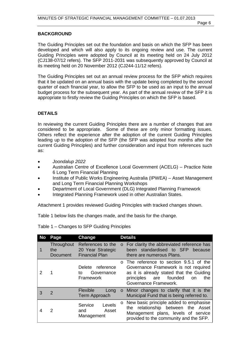#### **BACKGROUND**

The Guiding Principles set out the foundation and basis on which the SFP has been developed and which will also apply to its ongoing review and use. The current Guiding Principles were adopted by Council at its meeting held on 24 July 2012 (CJ138-07/12 refers). The SFP 2011-2031 was subsequently approved by Council at its meeting held on 20 November 2012 (CJ244-11/12 refers).

The Guiding Principles set out an annual review process for the SFP which requires that it be updated on an annual basis with the update being completed by the second quarter of each financial year, to allow the SFP to be used as an input to the annual budget process for the subsequent year. As part of the annual review of the SFP it is appropriate to firstly review the Guiding Principles on which the SFP is based.

#### **DETAILS**

In reviewing the current Guiding Principles there are a number of changes that are considered to be appropriate. Some of these are only minor formatting issues. Others reflect the experience after the adoption of the current Guiding Principles leading up to the adoption of the SFP (the SFP was adopted four months after the current Guiding Principles) and further consideration and input from references such as:

- *Joondalup 2022*
- Australian Centre of Excellence Local Government (ACELG) Practice Note 6 Long Term Financial Planning
- Institute of Public Works Engineering Australia (IPWEA) Asset Management and Long Term Financial Planning Workshops
- Department of Local Government (DLG) Integrated Planning Framework
- Integrated Planning Framework used in other Australian States.

Attachment 1 provides reviewed Guiding Principles with tracked changes shown.

Table 1 below lists the changes made, and the basis for the change.

| Table 1 – Changes to SFP Guiding Principles |  |  |
|---------------------------------------------|--|--|
|                                             |  |  |

| No | Page                          | Change                                                          |         | <b>Details</b>                                                                                                                                                                                 |
|----|-------------------------------|-----------------------------------------------------------------|---------|------------------------------------------------------------------------------------------------------------------------------------------------------------------------------------------------|
|    | Throughout<br>the<br>Document | References to the<br>20 Year Strategic<br><b>Financial Plan</b> | $\circ$ | For clarity the abbreviated reference has<br>been standardised to SFP<br>because<br>there are numerous Plans.                                                                                  |
|    |                               | Delete reference<br>Governance<br>to<br><b>Framework</b>        |         | o The reference to section 9.5.1 of the<br>Governance Framework is not required<br>as it is already stated that the Guiding<br>principles<br>are founded<br>the<br>on<br>Governance Framework. |
| 3  | 2                             | <b>Flexible</b><br>Long<br>Term Approach                        |         | o Minor changes to clarify that it is the<br>Municipal Fund that is being referred to.                                                                                                         |
|    | 2                             | Service<br>Levels<br>Asset<br>and<br>Management                 |         | New basic principle added to emphasise<br>relationship between the Asset<br>the<br>Management plans, levels of service<br>provided to the community and the SFP.                               |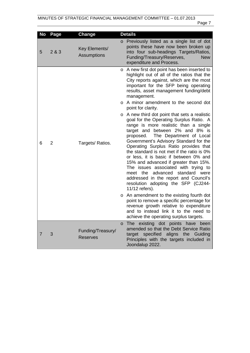| No | Page           | <b>Change</b>                        |         | <b>Details</b>                                                                                                                                                                                                                                                                                                                                                                                                                                                                                                                                                                                                |
|----|----------------|--------------------------------------|---------|---------------------------------------------------------------------------------------------------------------------------------------------------------------------------------------------------------------------------------------------------------------------------------------------------------------------------------------------------------------------------------------------------------------------------------------------------------------------------------------------------------------------------------------------------------------------------------------------------------------|
| 5  | 2 & 3          | Key Elements/<br>Assumptions         | $\circ$ | Previously listed as a single list of dot<br>points these have now been broken up<br>into four sub-headings Targets/Ratios,<br>Funding/Treasury/Reserves,<br><b>New</b><br>expenditure and Process.                                                                                                                                                                                                                                                                                                                                                                                                           |
|    |                |                                      | O       | A new first dot point has been inserted to<br>highlight out of all of the ratios that the<br>City reports against, which are the most<br>important for the SFP being operating<br>results, asset management funding/debt<br>management.                                                                                                                                                                                                                                                                                                                                                                       |
|    |                |                                      | O       | A minor amendment to the second dot<br>point for clarity.                                                                                                                                                                                                                                                                                                                                                                                                                                                                                                                                                     |
| 6  | $\overline{2}$ | Targets/Ratios.                      |         | o A new third dot point that sets a realistic<br>goal for the Operating Surplus Ratio. A<br>range is more realistic than a single<br>target and between 2% and 8% is<br>proposed. The Department of Local<br>Government's Advisory Standard for the<br>Operating Surplus Ratio provides that<br>the standard is not met if the ratio is 0%<br>or less, it is basic if between 0% and<br>15% and advanced if greater than 15%.<br>The issues associated with trying to<br>meet the advanced<br>standard were<br>addressed in the report and Council's<br>resolution adopting the SFP (CJ244-<br>11/12 refers). |
|    |                |                                      | $\circ$ | An amendment to the existing fourth dot<br>point to remove a specific percentage for<br>revenue growth relative to expenditure<br>and to instead link it to the need to<br>achieve the operating surplus targets.                                                                                                                                                                                                                                                                                                                                                                                             |
| 7  | 3              | Funding/Treasury/<br><b>Reserves</b> | $\circ$ | existing dot points have<br>been<br><b>The</b><br>amended so that the Debt Service Ratio<br>target specified aligns the Guiding<br>Principles with the targets included in<br>Joondalup 2022.                                                                                                                                                                                                                                                                                                                                                                                                                 |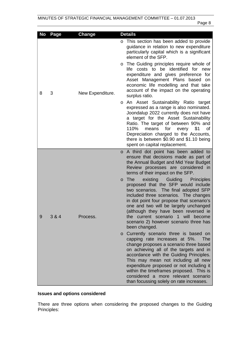| No | Page  | Change           | <b>Details</b>                                                                                                                                                                                                                                                                                                                                                                                                                                                                                                                                                                                                                                                                                                                                                                                                                                                                                                                                                                                                                                                     |
|----|-------|------------------|--------------------------------------------------------------------------------------------------------------------------------------------------------------------------------------------------------------------------------------------------------------------------------------------------------------------------------------------------------------------------------------------------------------------------------------------------------------------------------------------------------------------------------------------------------------------------------------------------------------------------------------------------------------------------------------------------------------------------------------------------------------------------------------------------------------------------------------------------------------------------------------------------------------------------------------------------------------------------------------------------------------------------------------------------------------------|
| 8  | 3     | New Expenditure. | o This section has been added to provide<br>guidance in relation to new expenditure<br>particularly capital which is a significant<br>element of the SFP.<br>The Guiding principles require whole of<br>O<br>life costs to be identified for new<br>expenditure and gives preference for<br>Asset Management Plans based on<br>economic life modelling and that take<br>account of the impact on the operating<br>surplus ratio.<br>An Asset Sustainability Ratio target<br>$\circ$<br>expressed as a range is also nominated.<br>Joondalup 2022 currently does not have<br>a target for the Asset Sustainability<br>Ratio. The target of between 90% and<br>110%<br>for<br>means<br>every<br>\$1<br>οf<br>Depreciation charged to the Accounts,<br>there is between \$0.90 and \$1.10 being<br>spent on capital replacement.                                                                                                                                                                                                                                      |
| 9  | 3 & 4 | Process          | A third dot point has been added to<br>$\circ$<br>ensure that decisions made as part of<br>the Annual Budget and Mid Year Budget<br>Review processes are considered in<br>terms of their impact on the SFP.<br>Guiding<br>The<br>existing<br><b>Principles</b><br>$\circ$<br>proposed that the SFP would include<br>two scenarios. The final adopted SFP<br>included three scenarios. The changes<br>in dot point four propose that scenario's<br>one and two will be largely unchanged<br>(although they have been reversed ie<br>the current scenario 1 will become<br>scenario 2) however scenario three has<br>been changed.<br>o Currently scenario three is based on<br>capping rate increases at 5%.<br>The<br>change proposes a scenario three based<br>on achieving all of the targets and in<br>accordance with the Guiding Principles.<br>This may mean not including all new<br>expenditure proposed or not including it<br>within the timeframes proposed. This is<br>considered a more relevant scenario<br>than focussing solely on rate increases. |

# **Issues and options considered**

There are three options when considering the proposed changes to the Guiding Principles: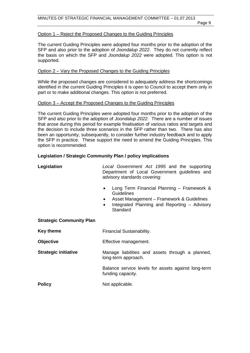#### Option 1 – Reject the Proposed Changes to the Guiding Principles

The current Guiding Principles were adopted four months prior to the adoption of the SFP and also prior to the adoption of *Joondalup 2022*. They do not currently reflect the basis on which the SFP and *Joondalup 2022* were adopted. This option is not supported.

#### Option 2 – Vary the Proposed Changes to the Guiding Principles

While the proposed changes are considered to adequately address the shortcomings identified in the current Guiding Principles it is open to Council to accept them only in part or to make additional changes. This option is not preferred.

#### Option 3 – Accept the Proposed Changes to the Guiding Principles

The current Guiding Principles were adopted four months prior to the adoption of the SFP and also prior to the adoption of *Joondalup 2022*. There are a number of issues that arose during this period for example finalisation of various ratios and targets and the decision to include three scenarios in the SFP rather than two. There has also been an opportunity, subsequently, to consider further industry feedback and to apply the SFP in practice. These support the need to amend the Guiding Principles. This option is recommended.

#### **Legislation / Strategic Community Plan / policy implications**

| Legislation                     | Local Government Act 1995 and the supporting<br>Department of Local Government guidelines and<br>advisory standards covering:                                                               |  |
|---------------------------------|---------------------------------------------------------------------------------------------------------------------------------------------------------------------------------------------|--|
|                                 | Long Term Financial Planning - Framework &<br>Guidelines<br>Asset Management – Framework & Guidelines<br>$\bullet$<br>Integrated Planning and Reporting - Advisory<br>$\bullet$<br>Standard |  |
| <b>Strategic Community Plan</b> |                                                                                                                                                                                             |  |
| <b>Key theme</b>                | Financial Sustainability.                                                                                                                                                                   |  |
| <b>Objective</b>                | Effective management.                                                                                                                                                                       |  |
| <b>Strategic initiative</b>     | Manage liabilities and assets through a planned,<br>long-term approach.                                                                                                                     |  |
|                                 | Balance service levels for assets against long-term<br>funding capacity.                                                                                                                    |  |
| <b>Policy</b>                   | Not applicable.                                                                                                                                                                             |  |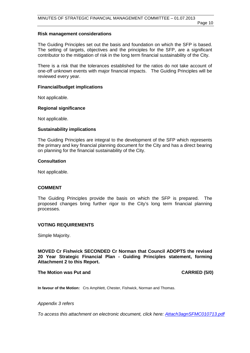#### **Risk management considerations**

The Guiding Principles set out the basis and foundation on which the SFP is based. The setting of targets, objectives and the principles for the SFP, are a significant contributor to the mitigation of risk in the long term financial sustainability of the City.

There is a risk that the tolerances established for the ratios do not take account of one-off unknown events with major financial impacts. The Guiding Principles will be reviewed every year.

#### **Financial/budget implications**

Not applicable.

#### **Regional significance**

Not applicable.

#### **Sustainability implications**

The Guiding Principles are integral to the development of the SFP which represents the primary and key financial planning document for the City and has a direct bearing on planning for the financial sustainability of the City.

#### **Consultation**

Not applicable.

#### **COMMENT**

The Guiding Principles provide the basis on which the SFP is prepared. The proposed changes bring further rigor to the City's long term financial planning processes.

#### **VOTING REQUIREMENTS**

Simple Majority.

**MOVED Cr Fishwick SECONDED Cr Norman that Council ADOPTS the revised 20 Year Strategic Financial Plan - Guiding Principles statement, forming Attachment 2 to this Report.**

#### The Motion was Put and **CARRIED** (5/0)

**In favour of the Motion:** Crs Amphlett, Chester, Fishwick, Norman and Thomas.

*Appendix 3 refers*

*[To access this attachment on electronic document, click here: Attach3agnSFMC010713.pdf](http://www.joondalup.wa.gov.au/files/committees/SFMC/2013/Attach3agnSFMC010713.pdf)*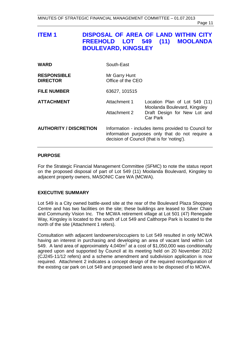# <span id="page-10-0"></span>**ITEM 1 DISPOSAL OF AREA OF LAND WITHIN CITY FREEHOLD LOT 549 (11) MOOLANDA BOULEVARD, KINGSLEY**

| <b>WARD</b>                           | South-East                                                                                                                                             |                                                               |
|---------------------------------------|--------------------------------------------------------------------------------------------------------------------------------------------------------|---------------------------------------------------------------|
| <b>RESPONSIBLE</b><br><b>DIRECTOR</b> | Mr Garry Hunt<br>Office of the CEO                                                                                                                     |                                                               |
| <b>FILE NUMBER</b>                    | 63627, 101515                                                                                                                                          |                                                               |
| <b>ATTACHMENT</b>                     | Attachment 1                                                                                                                                           | Location Plan of Lot 549 (11)<br>Moolanda Boulevard, Kingsley |
|                                       | Attachment 2                                                                                                                                           | Draft Design for New Lot and<br>Car Park                      |
| <b>AUTHORITY / DISCRETION</b>         | Information - includes items provided to Council for<br>information purposes only that do not require a<br>decision of Council (that is for 'noting'). |                                                               |

#### **PURPOSE**

For the Strategic Financial Management Committee (SFMC) to note the status report on the proposed disposal of part of Lot 549 (11) Moolanda Boulevard, Kingsley to adjacent property owners, MASONIC Care WA (MCWA).

#### **EXECUTIVE SUMMARY**

Lot 549 is a City owned battle-axed site at the rear of the Boulevard Plaza Shopping Centre and has two facilities on the site; these buildings are leased to Silver Chain and Community Vision Inc. The MCWA retirement village at Lot 501 (47) Renegade Way, Kingsley is located to the south of Lot 549 and Calthorpe Park is located to the north of the site (Attachment 1 refers).

Consultation with adjacent landowners/occupiers to Lot 549 resulted in only MCWA having an interest in purchasing and developing an area of vacant land within Lot 549. A land area of approximately 4,040m<sup>2</sup> at a cost of \$1,050,000 was conditionally agreed upon and supported by Council at its meeting held on 20 November 2012 (CJ245-11/12 refers) and a scheme amendment and subdivision application is now required. Attachment 2 indicates a concept design of the required reconfiguration of the existing car park on Lot 549 and proposed land area to be disposed of to MCWA.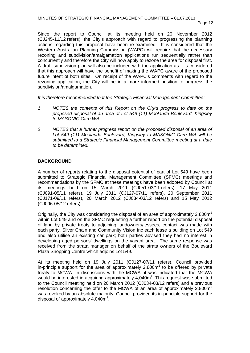Since the report to Council at its meeting held on 20 November 2012 (CJ245-11/12 refers), the City's approach with regard to progressing the planning actions regarding this proposal have been re-examined. It is considered that the Western Australian Planning Commission (WAPC) will require that the necessary rezoning and subdivision/amalgamation applications run sequentially rather than concurrently and therefore the City will now apply to rezone the area for disposal first. A draft subdivision plan will also be included with the application as it is considered that this approach will have the benefit of making the WAPC aware of the proposed future intent of both sites. On receipt of the WAPC's comments with regard to the rezoning application, the City will be in a more informed position to progress the subdivision/amalgamation.

*It is therefore recommended that the Strategic Financial Management Committee:* 

- *1 NOTES the contents of this Report on the City's progress to date on the proposed disposal of an area of Lot 549 (11) Moolanda Boulevard, Kingsley to MASONIC Care WA;*
- *2 NOTES that a further progress report on the proposed disposal of an area of Lot 549 (11) Moolanda Boulevard, Kingsley to MASONIC Care WA will be submitted to a Strategic Financial Management Committee meeting at a date to be determined.*

#### **BACKGROUND**

A number of reports relating to the disposal potential of part of Lot 549 have been submitted to Strategic Financial Management Committee (SFMC) meetings and recommendations by the SFMC at these meetings have been adopted by Council at its meetings held on 15 March 2011 (CJ051-03/11 refers), 17 May 2011 (CJ091-05/11 refers), 19 July 2011 (CJ127-07/11 refers), 20 September 2011 (CJ171-09/11 refers), 20 March 2012 (CJ034-03/12 refers) and 15 May 2012 (CJ096-05/12 refers).

Originally, the City was considering the disposal of an area of approximately  $2,800\text{m}^2$ within Lot 549 and on the SFMC requesting a further report on the potential disposal of land by private treaty to adjoining landowners/lessees, contact was made with each party. Silver Chain and Community Vision Inc each lease a building on Lot 549 and also utilise an existing car park; both parties advised they had no interest in developing aged persons' dwellings on the vacant area. The same response was received from the strata manager on behalf of the strata owners of the Boulevard Plaza Shopping Centre which adjoins Lot 549.

At its meeting held on 19 July 2011 (CJ127-07/11 refers), Council provided in-principle support for the area of approximately  $2,800m^2$  to be offered by private treaty to MCWA. In discussions with the MCWA, it was indicated that the MCWA would be interested in acquiring approximately  $4,040m^2$ . This request was submitted to the Council meeting held on 20 March 2012 (CJ034-03/12 refers) and a previous resolution concerning the offer to the MCWA of an area of approximately  $2,800\,\text{m}^2$ was revoked by an absolute majority. Council provided its in-principle support for the disposal of approximately  $4,040m^2$ .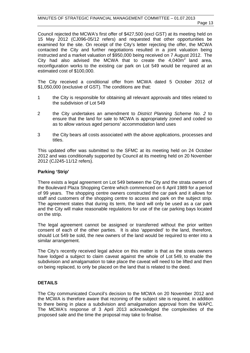Council rejected the MCWA's first offer of \$427,500 (excl GST) at its meeting held on 15 May 2012 (CJ096-05/12 refers) and requested that other opportunities be examined for the site. On receipt of the City's letter rejecting the offer, the MCWA contacted the City and further negotiations resulted in a joint valuation being instructed and a market valuation of \$950,000 being received on 7 August 2012. The City had also advised the MCWA that to create the  $4.040m<sup>2</sup>$  land area, reconfiguration works to the existing car park on Lot 549 would be required at an estimated cost of \$100,000.

The City received a conditional offer from MCWA dated 5 October 2012 of \$1,050,000 (exclusive of GST). The conditions are that:

- 1 the City is responsible for obtaining all relevant approvals and titles related to the subdivision of Lot 549
- 2 the City undertakes an amendment to *District Planning Scheme No. 2* to ensure that the land for sale to MCWA is appropriately zoned and coded so as to allow various aged persons' accommodation land uses
- 3 the City bears all costs associated with the above applications, processes and titles.

This updated offer was submitted to the SFMC at its meeting held on 24 October 2012 and was conditionally supported by Council at its meeting held on 20 November 2012 (CJ245-11/12 refers).

#### **Parking 'Strip'**

There exists a legal agreement on Lot 549 between the City and the strata owners of the Boulevard Plaza Shopping Centre which commenced on 6 April 1989 for a period of 99 years. The shopping centre owners constructed the car park and it allows for staff and customers of the shopping centre to access and park on the subject strip. The agreement states that during its term, the land will only be used as a car park and the City will make reasonable regulations for use of the car parking bays located on the strip.

The legal agreement cannot be assigned or transferred without the prior written consent of each of the other parties. It is also 'appended' to the land, therefore, should Lot 549 be sold, the new owners of the land would be required to enter into a similar arrangement.

The City's recently received legal advice on this matter is that as the strata owners have lodged a subject to claim caveat against the whole of Lot 549, to enable the subdivision and amalgamation to take place the caveat will need to be lifted and then on being replaced, to only be placed on the land that is related to the deed.

#### **DETAILS**

The City communicated Council's decision to the MCWA on 20 November 2012 and the MCWA is therefore aware that rezoning of the subject site is required, in addition to there being in place a subdivision and amalgamation approval from the WAPC. The MCWA's response of 3 April 2013 acknowledged the complexities of the proposed sale and the time the proposal may take to finalise.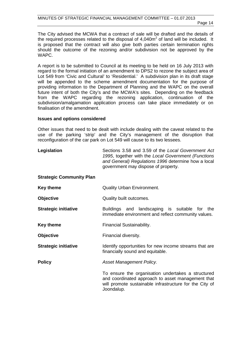The City advised the MCWA that a contract of sale will be drafted and the details of the required processes related to the disposal of  $4,040m^2$  of land will be included. It is proposed that the contract will also give both parties certain termination rights should the outcome of the rezoning and/or subdivision not be approved by the WAPC.

A report is to be submitted to Council at its meeting to be held on 16 July 2013 with regard to the formal initiation of an amendment to DPS2 to rezone the subject area of Lot 549 from 'Civic and Cultural' to 'Residential.' A subdivision plan in its draft stage will be appended to the scheme amendment documentation for the purpose of providing information to the Department of Planning and the WAPC on the overall future intent of both the City's and the MCWA's sites. Depending on the feedback from the WAPC regarding the rezoning application, continuation of the subdivision/amalgamation application process can take place immediately or on finalisation of the amendment.

#### **Issues and options considered**

Other issues that need to be dealt with include dealing with the caveat related to the use of the parking 'strip' and the City's management of the disruption that reconfiguration of the car park on Lot 549 will cause to its two lessees.

| Legislation                     | Sections 3.58 and 3.59 of the Local Government Act<br>1995, together with the Local Government (Functions<br>and General) Regulations 1996 determine how a local<br>government may dispose of property. |
|---------------------------------|---------------------------------------------------------------------------------------------------------------------------------------------------------------------------------------------------------|
| <b>Strategic Community Plan</b> |                                                                                                                                                                                                         |
| <b>Key theme</b>                | <b>Quality Urban Environment.</b>                                                                                                                                                                       |
| <b>Objective</b>                | Quality built outcomes.                                                                                                                                                                                 |
| <b>Strategic initiative</b>     | Buildings and landscaping is suitable for the<br>immediate environment and reflect community values.                                                                                                    |
| <b>Key theme</b>                | Financial Sustainability.                                                                                                                                                                               |
| <b>Objective</b>                | Financial diversity.                                                                                                                                                                                    |
| <b>Strategic initiative</b>     | Identify opportunities for new income streams that are<br>financially sound and equitable.                                                                                                              |
| <b>Policy</b>                   | Asset Management Policy.                                                                                                                                                                                |
|                                 | To ensure the organisation undertakes a structured<br>and coordinated approach to asset management that<br>will promote sustainable infrastructure for the City of<br>Joondalup.                        |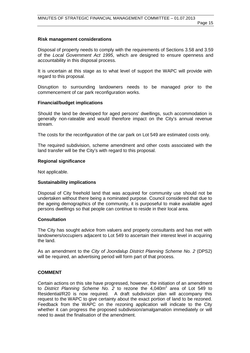#### **Risk management considerations**

Disposal of property needs to comply with the requirements of Sections 3.58 and 3.59 of the *Local Government Act 1995*, which are designed to ensure openness and accountability in this disposal process.

It is uncertain at this stage as to what level of support the WAPC will provide with regard to this proposal.

Disruption to surrounding landowners needs to be managed prior to the commencement of car park reconfiguration works.

#### **Financial/budget implications**

Should the land be developed for aged persons' dwellings, such accommodation is generally non-rateable and would therefore impact on the City's annual revenue stream.

The costs for the reconfiguration of the car park on Lot 549 are estimated costs only.

The required subdivision, scheme amendment and other costs associated with the land transfer will be the City's with regard to this proposal.

#### **Regional significance**

Not applicable.

#### **Sustainability implications**

Disposal of City freehold land that was acquired for community use should not be undertaken without there being a nominated purpose. Council considered that due to the ageing demographics of the community, it is purposeful to make available aged persons dwellings so that people can continue to reside in their local area.

#### **Consultation**

The City has sought advice from valuers and property consultants and has met with landowners/occupiers adjacent to Lot 549 to ascertain their interest level in acquiring the land.

As an amendment to the *City of Joondalup District Planning Scheme No. 2* (DPS2) will be required, an advertising period will form part of that process.

#### **COMMENT**

Certain actions on this site have progressed, however, the initiation of an amendment to *District Planning Scheme No. 2* to rezone the 4,040m<sup>2</sup> area of Lot 549 to Residential/R20 is now required. A draft subdivision plan will accompany this request to the WAPC to give certainty about the exact portion of land to be rezoned. Feedback from the WAPC on the rezoning application will indicate to the City whether it can progress the proposed subdivision/amalgamation immediately or will need to await the finalisation of the amendment.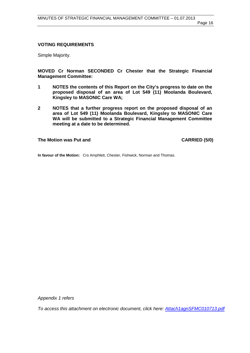#### **VOTING REQUIREMENTS**

Simple Majority.

**MOVED Cr Norman SECONDED Cr Chester that the Strategic Financial Management Committee:** 

- **1 NOTES the contents of this Report on the City's progress to date on the proposed disposal of an area of Lot 549 (11) Moolanda Boulevard, Kingsley to MASONIC Care WA;**
- **2 NOTES that a further progress report on the proposed disposal of an area of Lot 549 (11) Moolanda Boulevard, Kingsley to MASONIC Care WA will be submitted to a Strategic Financial Management Committee meeting at a date to be determined.**

**The Motion was Put and CARRIED (5/0)** 

**In favour of the Motion:** Crs Amphlett, Chester, Fishwick, Norman and Thomas.

*Appendix 1 refers*

*[To access this attachment on electronic document, click here: Attach1agnSFMC010713.pdf](http://www.joondalup.wa.gov.au/files/committees/SFMC/2013/Attach1agnSFMC010713.pdf)*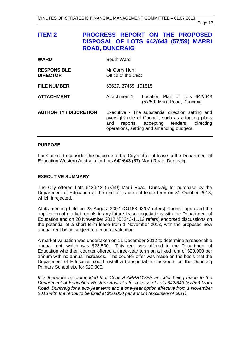<span id="page-16-0"></span>

| <b>ITEM 2</b>                         | <b>ROAD, DUNCRAIG</b>              | <b>PROGRESS REPORT ON THE PROPOSED</b><br>DISPOSAL OF LOTS 642/643 (57/59) MARRI                                                                                                             |
|---------------------------------------|------------------------------------|----------------------------------------------------------------------------------------------------------------------------------------------------------------------------------------------|
| <b>WARD</b>                           | South Ward                         |                                                                                                                                                                                              |
| <b>RESPONSIBLE</b><br><b>DIRECTOR</b> | Mr Garry Hunt<br>Office of the CEO |                                                                                                                                                                                              |
| <b>FILE NUMBER</b>                    | 63627, 27459, 101515               |                                                                                                                                                                                              |
| <b>ATTACHMENT</b>                     | Attachment 1                       | Location Plan of Lots 642/643<br>(57/59) Marri Road, Duncraig                                                                                                                                |
| <b>AUTHORITY / DISCRETION</b>         | and                                | Executive - The substantial direction setting and<br>oversight role of Council, such as adopting plans<br>reports, accepting tenders, directing<br>operations, setting and amending budgets. |

#### **PURPOSE**

For Council to consider the outcome of the City's offer of lease to the Department of Education Western Australia for Lots 642/643 (57) Marri Road, Duncraig.

#### **EXECUTIVE SUMMARY**

The City offered Lots 642/643 (57/59) Marri Road, Duncraig for purchase by the Department of Education at the end of its current lease term on 31 October 2013, which it rejected.

At its meeting held on 28 August 2007 (CJ168-08/07 refers) Council approved the application of market rentals in any future lease negotiations with the Department of Education and on 20 November 2012 (CJ243-11/12 refers) endorsed discussions on the potential of a short term lease from 1 November 2013, with the proposed new annual rent being subject to a market valuation.

A market valuation was undertaken on 11 December 2012 to determine a reasonable annual rent, which was \$23,500. This rent was offered to the Department of Education who then counter offered a three-year term on a fixed rent of \$20,000 per annum with no annual increases. The counter offer was made on the basis that the Department of Education could install a transportable classroom on the Duncraig Primary School site for \$20,000.

*It is therefore recommended that Council APPROVES an offer being made to the Department of Education Western Australia for a lease of Lots 642/643 (57/59) Marri Road, Duncraig for a two-year term and a one-year option effective from 1 November 2013 with the rental to be fixed at \$20,000 per annum (exclusive of GST).*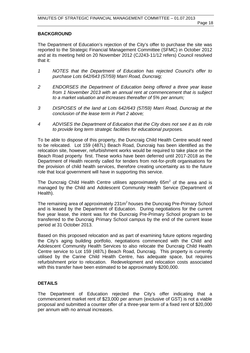#### **BACKGROUND**

The Department of Education's rejection of the City's offer to purchase the site was reported to the Strategic Financial Management Committee (SFMC) in October 2012 and at its meeting held on 20 November 2012 (CJ243-11/12 refers) Council resolved that it:

- *1 NOTES that the Department of Education has rejected Council's offer to purchase Lots 642/643 (57/59) Marri Road, Duncraig;*
- *2 ENDORSES the Department of Education being offered a three year lease from 1 November 2013 with an annual rent at commencement that is subject to a market valuation and increases thereafter of 5% per annum;*
- *3 DISPOSES of the land at Lots 642/643 (57/59) Marri Road, Duncraig at the conclusion of the lease term in Part 2 above;*
- *4 ADVISES the Department of Education that the City does not see it as its role to provide long term strategic facilities for educational purposes.*

To be able to dispose of this property, the Duncraig Child Health Centre would need to be relocated. Lot 159 (487L) Beach Road, Duncraig has been identified as the relocation site, however, refurbishment works would be required to take place on the Beach Road property first. These works have been deferred until 2017-2018 as the Department of Health recently called for tenders from not-for-profit organisations for the provision of child health services, therefore creating uncertainty as to the future role that local government will have in supporting this service.

The Duncraig Child Health Centre utilises approximately  $65m^2$  of the area and is managed by the Child and Adolescent Community Health Service (Department of Health).

The remaining area of approximately  $231m^2$  houses the Duncraig Pre-Primary School and is leased by the Department of Education. During negotiations for the current five year lease, the intent was for the Duncraig Pre-Primary School program to be transferred to the Duncraig Primary School campus by the end of the current lease period at 31 October 2013.

Based on this proposed relocation and as part of examining future options regarding the City's aging building portfolio, negotiations commenced with the Child and Adolescent Community Health Services to also relocate the Duncraig Child Health Centre service to Lot 159 (487L) Beach Road, Duncraig. This property is currently utilised by the Carine Child Health Centre, has adequate space, but requires refurbishment prior to relocation. Redevelopment and relocation costs associated with this transfer have been estimated to be approximately \$200,000.

#### **DETAILS**

The Department of Education rejected the City's offer indicating that a commencement market rent of \$23,000 per annum (exclusive of GST) is not a viable proposal and submitted a counter offer of a three-year term of a fixed rent of \$20,000 per annum with no annual increases.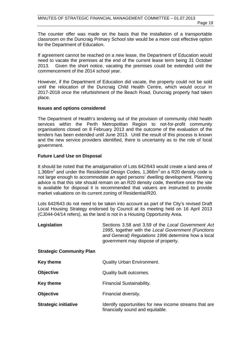The counter offer was made on the basis that the installation of a transportable classroom on the Duncraig Primary School site would be a more cost effective option for the Department of Education.

If agreement cannot be reached on a new lease, the Department of Education would need to vacate the premises at the end of the current lease term being 31 October 2013. Given the short notice, vacating the premises could be extended until the commencement of the 2014 school year.

However, if the Department of Education did vacate, the property could not be sold until the relocation of the Duncraig Child Health Centre, which would occur in 2017-2018 once the refurbishment of the Beach Road, Duncraig property had taken place.

#### **Issues and options considered**

The Department of Health's tendering out of the provision of community child health services within the Perth Metropolitan Region to not-for-profit community organisations closed on 8 February 2013 and the outcome of the evaluation of the tenders has been extended until June 2013. Until the result of this process is known and the new service providers identified, there is uncertainty as to the role of local government.

#### **Future Land Use on Disposal**

It should be noted that the amalgamation of Lots 642/643 would create a land area of 1,366 $m^2$  and under the Residential Design Codes, 1,366 $m^2$  on a R20 density code is not large enough to accommodate an aged persons' dwelling development. Planning advice is that this site should remain on an R20 density code, therefore once the site is available for disposal it is recommended that valuers are instructed to provide market valuations on its current zoning of Residential/R20.

Lots 642/643 do not need to be taken into account as part of the City's revised Draft Local Housing Strategy endorsed by Council at its meeting held on 16 April 2013 (CJ044-04/14 refers), as the land is not in a Housing Opportunity Area.

| Legislation | Sections 3.58 and 3.59 of the Local Government Act  |
|-------------|-----------------------------------------------------|
|             | 1995, together with the Local Government (Functions |
|             | and General) Regulations 1996 determine how a local |
|             | government may dispose of property.                 |

#### **Strategic Community Plan**

| Key theme                   | Quality Urban Environment.                                                                 |
|-----------------------------|--------------------------------------------------------------------------------------------|
| <b>Objective</b>            | Quality built outcomes.                                                                    |
| <b>Key theme</b>            | Financial Sustainability.                                                                  |
| <b>Objective</b>            | Financial diversity.                                                                       |
| <b>Strategic initiative</b> | Identify opportunities for new income streams that are<br>financially sound and equitable. |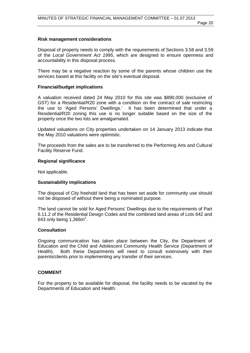## **Risk management considerations**

Disposal of property needs to comply with the requirements of Sections 3.58 and 3.59 of the *Local Government Act 1995*, which are designed to ensure openness and accountability in this disposal process.

There may be a negative reaction by some of the parents whose children use the services based at this facility on the site's eventual disposal.

# **Financial/budget implications**

A valuation received dated 24 May 2010 for this site was \$890,000 (exclusive of GST) for a Residential/R20 zone with a condition on the contract of sale restricting the use to 'Aged Persons' Dwellings.' It has been determined that under a Residential/R20 zoning this use is no longer suitable based on the size of the property once the two lots are amalgamated.

Updated valuations on City properties undertaken on 14 January 2013 indicate that the May 2010 valuations were optimistic.

The proceeds from the sales are to be transferred to the Performing Arts and Cultural Facility Reserve Fund.

## **Regional significance**

Not applicable.

# **Sustainability implications**

The disposal of City freehold land that has been set aside for community use should not be disposed of without there being a nominated purpose.

The land cannot be sold for Aged Persons' Dwellings due to the requirements of Part 6.11.2 of the Residential Design Codes and the combined land areas of Lots 642 and 643 only being  $1,366$ m<sup>2</sup>.

# **Consultation**

Ongoing communication has taken place between the City, the Department of Education and the Child and Adolescent Community Health Service (Department of Health). Both these Departments will need to consult extensively with their parents/clients prior to implementing any transfer of their services.

# **COMMENT**

For the property to be available for disposal, the facility needs to be vacated by the Departments of Education and Health.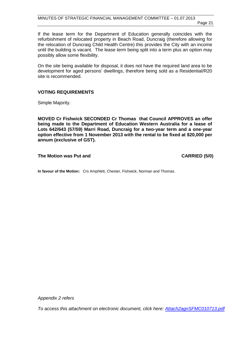If the lease term for the Department of Education generally coincides with the refurbishment of relocated property in Beach Road, Duncraig (therefore allowing for the relocation of Duncraig Child Health Centre) this provides the City with an income until the building is vacant. The lease term being split into a term plus an option may possibly allow some flexibility.

On the site being available for disposal, it does not have the required land area to be development for aged persons' dwellings, therefore being sold as a Residential/R20 site is recommended.

#### **VOTING REQUIREMENTS**

Simple Majority.

**MOVED Cr Fishwick SECONDED Cr Thomas that Council APPROVES an offer being made to the Department of Education Western Australia for a lease of Lots 642/643 (57/59) Marri Road, Duncraig for a two-year term and a one-year option effective from 1 November 2013 with the rental to be fixed at \$20,000 per annum (exclusive of GST).**

The Motion was Put and **CARRIED** (5/0)

**In favour of the Motion:** Crs Amphlett, Chester, Fishwick, Norman and Thomas.

*Appendix 2 refers*

*[To access this attachment on electronic document, click here: Attach2agnSFMC010713.pdf](http://www.joondalup.wa.gov.au/files/committees/SFMC/2013/Attach2agnSFMC010713.pdf)*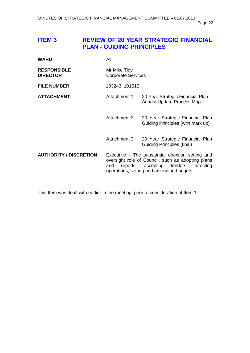# <span id="page-21-0"></span>**ITEM 3 REVIEW OF 20 YEAR STRATEGIC FINANCIAL PLAN - GUIDING PRINCIPLES**

| <b>WARD</b>                           | All                                       |                                                                                                                                                                                                 |
|---------------------------------------|-------------------------------------------|-------------------------------------------------------------------------------------------------------------------------------------------------------------------------------------------------|
| <b>RESPONSIBLE</b><br><b>DIRECTOR</b> | Mr Mike Tidy<br><b>Corporate Services</b> |                                                                                                                                                                                                 |
| <b>FILE NUMBER</b>                    | 103243, 101515                            |                                                                                                                                                                                                 |
| <b>ATTACHMENT</b>                     | Attachment 1                              | 20 Year Strategic Financial Plan -<br>Annual Update Process Map                                                                                                                                 |
|                                       | Attachment 2                              | 20 Year Strategic Financial Plan<br>Guiding Principles (with mark up)                                                                                                                           |
|                                       | Attachment 3                              | 20 Year Strategic Financial Plan<br>Guiding Principles (final)                                                                                                                                  |
| <b>AUTHORITY / DISCRETION</b>         | and                                       | Executive - The substantial direction setting and<br>oversight role of Council, such as adopting plans<br>reports, accepting tenders,<br>directing<br>operations, setting and amending budgets. |

This Item was dealt with earlier in the meeting, prior to consideration of Item 1.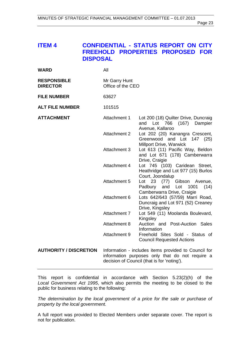# <span id="page-22-0"></span>**ITEM 4 CONFIDENTIAL - STATUS REPORT ON CITY FREEHOLD PROPERTIES PROPOSED FOR DISPOSAL**

| <b>WARD</b>                           | All                                |                                                                                                         |
|---------------------------------------|------------------------------------|---------------------------------------------------------------------------------------------------------|
| <b>RESPONSIBLE</b><br><b>DIRECTOR</b> | Mr Garry Hunt<br>Office of the CEO |                                                                                                         |
| <b>FILE NUMBER</b>                    | 63627                              |                                                                                                         |
| <b>ALT FILE NUMBER</b>                | 101515                             |                                                                                                         |
| <b>ATTACHMENT</b>                     | Attachment 1                       | Lot 200 (18) Quilter Drive, Duncraig<br>and Lot 766 (167) Dampier<br>Avenue, Kallaroo                   |
|                                       | <b>Attachment 2</b>                | Lot 202 (20) Kanangra Crescent,<br>Greenwood and Lot 147 (25)<br>Millport Drive, Warwick                |
|                                       | <b>Attachment 3</b>                | Lot 613 (11) Pacific Way, Beldon<br>and Lot 671 (178) Camberwarra<br>Drive, Craigie                     |
|                                       | Attachment 4                       | Lot 745 (103) Caridean Street,<br>Heathridge and Lot 977 (15) Burlos<br>Court, Joondalup                |
|                                       | Attachment 5                       | Lot 23 (77) Gibson Avenue,<br>Padbury and Lot<br>1001<br>(14)<br>Camberwarra Drive, Craigie             |
|                                       | Attachment 6                       | Lots 642/643 (57/59) Marri Road,<br>Duncraig and Lot 971 (52) Creaney<br>Drive, Kingsley                |
|                                       | Attachment 7                       | Lot 549 (11) Moolanda Boulevard,<br>Kingsley                                                            |
|                                       | Attachment 8                       | Auction and Post-Auction Sales<br>Information                                                           |
|                                       | Attachment 9                       | Freehold Sites Sold - Status of<br><b>Council Requested Actions</b>                                     |
| <b>AUTHORITY / DISCRETION</b>         |                                    | Information - includes items provided to Council for<br>information nurnoses only that do not require a |

information purposes only that do not require a decision of Council (that is for 'noting').

This report is confidential in accordance with Section 5.23(2)(h) of the *Local Government Act 1995*, which also permits the meeting to be closed to the public for business relating to the following:

*The determination by the local government of a price for the sale or purchase of property by the local government.* 

A full report was provided to Elected Members under separate cover. The report is not for publication.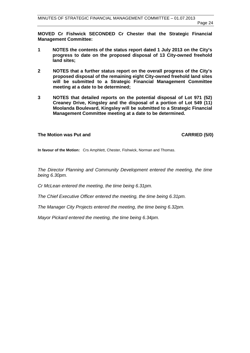**MOVED Cr Fishwick SECONDED Cr Chester that the Strategic Financial Management Committee:** 

- **1 NOTES the contents of the status report dated 1 July 2013 on the City's progress to date on the proposed disposal of 13 City-owned freehold land sites;**
- **2 NOTES that a further status report on the overall progress of the City's proposed disposal of the remaining eight City-owned freehold land sites will be submitted to a Strategic Financial Management Committee meeting at a date to be determined;**
- **3 NOTES that detailed reports on the potential disposal of Lot 971 (52) Creaney Drive, Kingsley and the disposal of a portion of Lot 549 (11) Moolanda Boulevard, Kingsley will be submitted to a Strategic Financial Management Committee meeting at a date to be determined.**

#### The Motion was Put and **CARRIED** (5/0)

**In favour of the Motion:** Crs Amphlett, Chester, Fishwick, Norman and Thomas.

*The Director Planning and Community Development entered the meeting, the time being 6.30pm.* 

*Cr McLean entered the meeting, the time being 6.31pm.*

*The Chief Executive Officer entered the meeting, the time being 6.31pm.*

*The Manager City Projects entered the meeting, the time being 6.32pm.*

*Mayor Pickard entered the meeting, the time being 6.34pm.*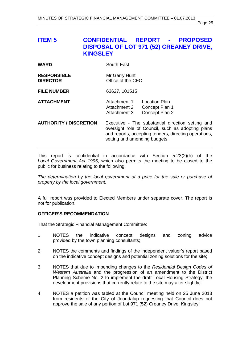# <span id="page-24-0"></span>**ITEM 5 CONFIDENTIAL REPORT - PROPOSED DISPOSAL OF LOT 971 (52) CREANEY DRIVE, KINGSLEY**

| WARD | South-East |
|------|------------|
|      |            |

| <b>RESPONSIBLE</b> | Mr Garry Hunt     |
|--------------------|-------------------|
| <b>DIRECTOR</b>    | Office of the CEO |

**FILE NUMBER** 63627, 101515

- **ATTACHMENT** Attachment 1 Location Plan Attachment 2 Concept Plan 1<br>Attachment 3 Concept Plan 2 Concept Plan 2
- **AUTHORITY / DISCRETION** Executive The substantial direction setting and oversight role of Council, such as adopting plans and reports, accepting tenders, directing operations, setting and amending budgets.

This report is confidential in accordance with Section 5.23(2)(h) of the *Local Government Act 1995*, which also permits the meeting to be closed to the public for business relating to the following:

*The determination by the local government of a price for the sale or purchase of property by the local government.* 

A full report was provided to Elected Members under separate cover. The report is not for publication.

#### **OFFICER'S RECOMMENDATION**

That the Strategic Financial Management Committee:

- 1 NOTES the indicative concept designs and zoning advice provided by the town planning consultants;
- 2 NOTES the comments and findings of the independent valuer's report based on the indicative concept designs and potential zoning solutions for the site;
- 3 NOTES that due to impending changes to the *Residential Design Codes of Western Australia* and the progression of an amendment to the District Planning Scheme No. 2 to implement the draft Local Housing Strategy, the development provisions that currently relate to the site may alter slightly;
- 4 NOTES a petition was tabled at the Council meeting held on 25 June 2013 from residents of the City of Joondalup requesting that Council does not approve the sale of any portion of Lot 971 (52) Creaney Drive, Kingsley;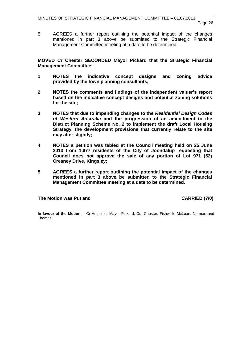5 AGREES a further report outlining the potential impact of the changes mentioned in part 3 above be submitted to the Strategic Financial Management Committee meeting at a date to be determined.

**MOVED Cr Chester SECONDED Mayor Pickard that the Strategic Financial Management Committee:** 

- **1 NOTES the indicative concept designs and zoning advice provided by the town planning consultants;**
- **2 NOTES the comments and findings of the independent valuer's report based on the indicative concept designs and potential zoning solutions for the site;**
- **3 NOTES that due to impending changes to the** *Residential Design Codes of Western Australia* **and the progression of an amendment to the District Planning Scheme No. 2 to implement the draft Local Housing Strategy, the development provisions that currently relate to the site may alter slightly;**
- **4 NOTES a petition was tabled at the Council meeting held on 25 June 2013 from 1,977 residents of the City of Joondalup requesting that Council does not approve the sale of any portion of Lot 971 (52) Creaney Drive, Kingsley;**
- **5 AGREES a further report outlining the potential impact of the changes mentioned in part 3 above be submitted to the Strategic Financial Management Committee meeting at a date to be determined.**

The Motion was Put and **CARRIED** (7/0)

**In favour of the Motion:** Cr Amphlett, Mayor Pickard, Crs Chester, Fishwick, McLean, Norman and Thomas.